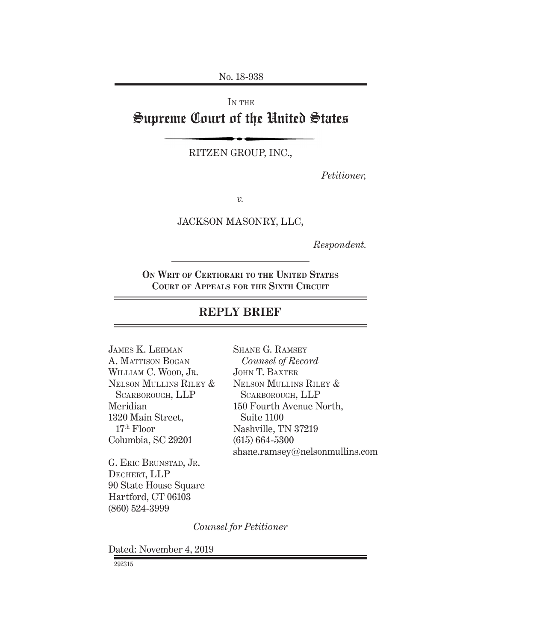No. 18-938

IN THE Supreme Court of the United States

RITZEN GROUP, INC.,

*Petitioner,*

*v.*

JACKSON MASONRY, LLC,

*Respondent.*

**On Writ of Certiorari to the United States Court of Appeals for the Sixth Circuit**

# **REPLY BRIEF**

| <b>JAMES K. LEHMAN</b> | <b>SHANE G. RAMSEY</b>         |
|------------------------|--------------------------------|
| A. MATTISON BOGAN      | Counsel of Record              |
| WILLIAM C. WOOD, JR.   | <b>JOHN T. BAXTER</b>          |
| NELSON MULLINS RILEY & | NELSON MULLINS RILEY &         |
| SCARBOROUGH, LLP       | SCARBOROUGH, LLP               |
| Meridian               | 150 Fourth Avenue North,       |
| 1320 Main Street,      | Suite 1100                     |
| $17th$ Floor           | Nashville, TN 37219            |
| Columbia, SC 29201     | $(615) 664 - 5300$             |
|                        | shane.ramsey@nelsonmullins.com |
|                        |                                |

G. ERIC BRUNSTAD, JR. Dechert, LLP 90 State House Square Hartford, CT 06103 (860) 524-3999

*Counsel for Petitioner* 

Dated: November 4, 2019

292315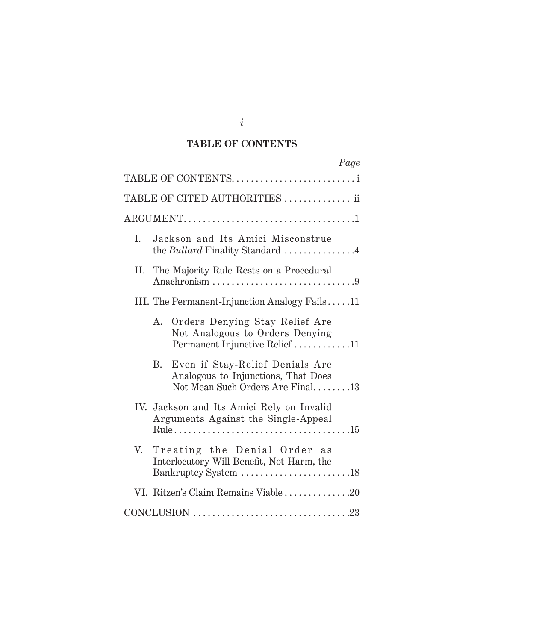## **TABLE OF CONTENTS**

|    |                 |                                                                                                            | Page |
|----|-----------------|------------------------------------------------------------------------------------------------------------|------|
|    |                 | TABLE OF CONTENTSi                                                                                         |      |
|    |                 | TABLE OF CITED AUTHORITIES  ii                                                                             |      |
|    |                 |                                                                                                            |      |
| I. |                 | Jackson and Its Amici Misconstrue<br>the <i>Bullard</i> Finality Standard $\ldots$ 4                       |      |
| П. |                 | The Majority Rule Rests on a Procedural                                                                    |      |
|    |                 | III. The Permanent-Injunction Analogy Fails11                                                              |      |
|    | А.              | Orders Denying Stay Relief Are<br>Not Analogous to Orders Denying<br>Permanent Injunctive Relief 11        |      |
|    | $\rm R_{\cdot}$ | Even if Stay-Relief Denials Are<br>Analogous to Injunctions, That Does<br>Not Mean Such Orders Are Final13 |      |
|    |                 | IV. Jackson and Its Amici Rely on Invalid<br>Arguments Against the Single-Appeal                           |      |
| V. |                 | Treating the Denial Order as<br>Interlocutory Will Benefit, Not Harm, the<br>Bankruptcy System 18          |      |
|    |                 | VI. Ritzen's Claim Remains Viable 20                                                                       |      |
|    |                 |                                                                                                            |      |

*i*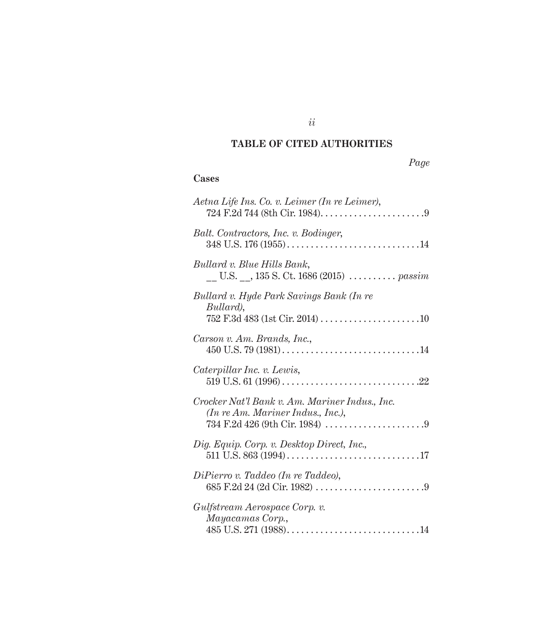## **TABLE OF CITED AUTHORITIES**

## **Cases**

| Aetna Life Ins. Co. v. Leimer (In re Leimer),                                       |
|-------------------------------------------------------------------------------------|
| Balt. Contractors, Inc. v. Bodinger,                                                |
| Bullard v. Blue Hills Bank,                                                         |
| Bullard v. Hyde Park Savings Bank (In re<br>Bullard),                               |
| Carson v. Am. Brands, Inc.,                                                         |
| Caterpillar Inc. v. Lewis,                                                          |
| Crocker Nat'l Bank v. Am. Mariner Indus., Inc.<br>(In re Am. Mariner Indus., Inc.), |
| Dig. Equip. Corp. v. Desktop Direct, Inc.,                                          |
| DiPierro v. Taddeo (In re Taddeo),                                                  |
| Gulfstream Aerospace Corp. v.<br>Mayacamas Corp.,                                   |

*ii*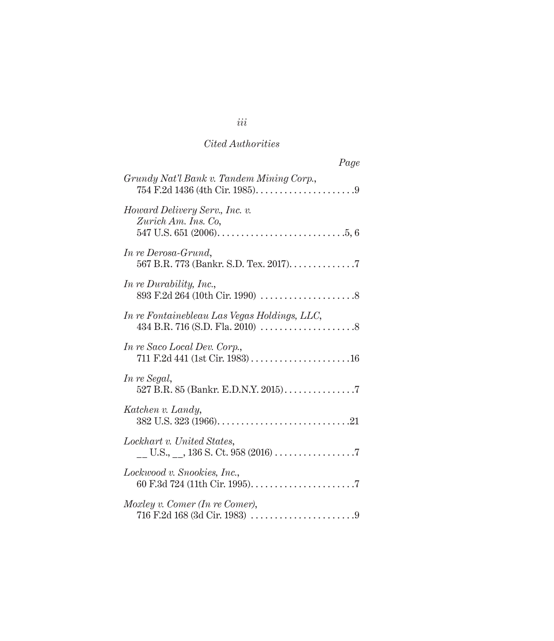| Page                                                           |
|----------------------------------------------------------------|
| Grundy Nat'l Bank v. Tandem Mining Corp.,                      |
| Howard Delivery Serv., Inc. v.<br>Zurich Am. Ins. Co.          |
| In re Derosa-Grund,<br>567 B.R. 773 (Bankr. S.D. Tex. 2017). 7 |
| In re Durability, Inc.,                                        |
| In re Fontainebleau Las Vegas Holdings, LLC,                   |
| In re Saco Local Dev. Corp.,                                   |
| In re Segal,<br>527 B.R. 85 (Bankr. E.D.N.Y. 2015). 7          |
| Katchen v. Landy,                                              |
| Lockhart v. United States,                                     |
| Lockwood v. Snookies, Inc.,                                    |
| Moxley v. Comer (In re Comer),                                 |

# *iii*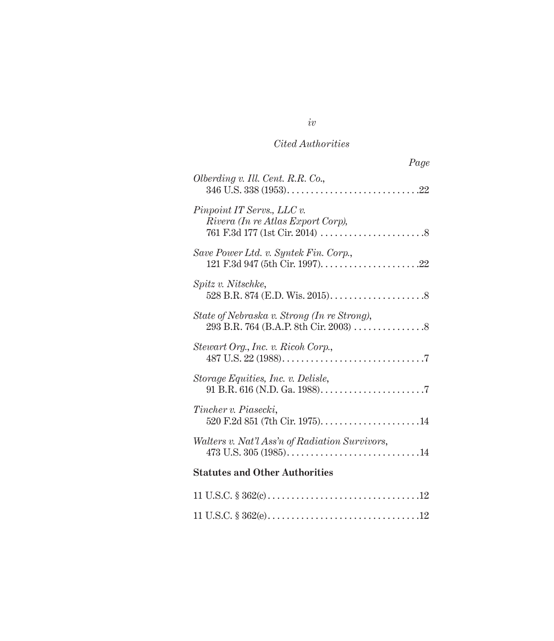| Page                                                            |
|-----------------------------------------------------------------|
| Olberding v. Ill. Cent. R.R. Co.,                               |
| Pinpoint IT Servs., LLC v.<br>Rivera (In re Atlas Export Corp), |
| Save Power Ltd. v. Syntek Fin. Corp.,                           |
| Spitz v. Nitschke,                                              |
| State of Nebraska v. Strong (In re Strong),                     |
| Stewart Org., Inc. v. Ricoh Corp.,                              |
| Storage Equities, Inc. v. Delisle,                              |
| Tincher v. Piasecki,                                            |
| Walters v. Nat'l Ass'n of Radiation Survivors,                  |
| <b>Statutes and Other Authorities</b>                           |
|                                                                 |
|                                                                 |

# *iv*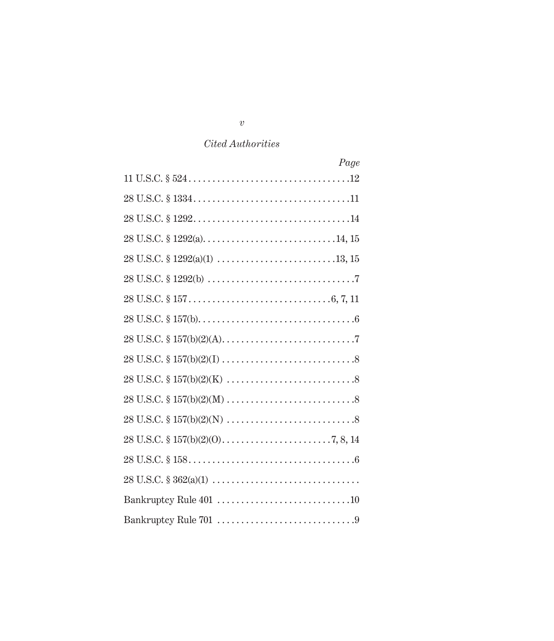| Page                                                                                             |
|--------------------------------------------------------------------------------------------------|
|                                                                                                  |
|                                                                                                  |
|                                                                                                  |
|                                                                                                  |
|                                                                                                  |
|                                                                                                  |
|                                                                                                  |
|                                                                                                  |
|                                                                                                  |
|                                                                                                  |
|                                                                                                  |
|                                                                                                  |
| 28 U.S.C. $$ 157(b)(2)(N) \dots$                                                                 |
|                                                                                                  |
|                                                                                                  |
| $28 \text{ U.S.C. } \S~362(a)(1) \ldots \ldots \ldots \ldots \ldots \ldots \ldots \ldots \ldots$ |
|                                                                                                  |
|                                                                                                  |

*v*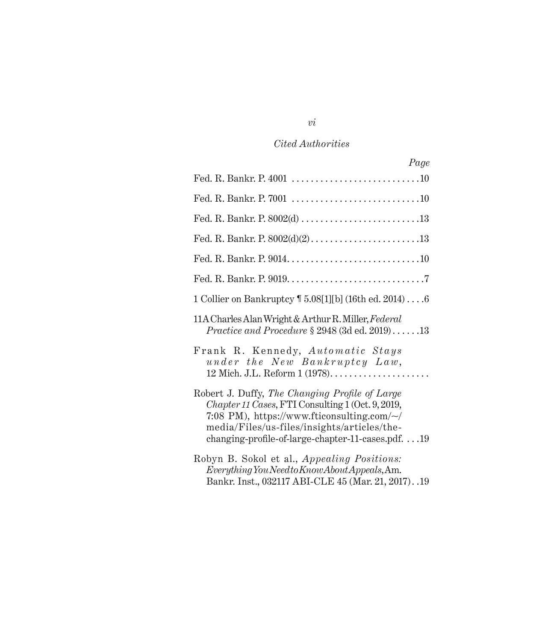| Page                                                                                                                                                                                                                                                    |
|---------------------------------------------------------------------------------------------------------------------------------------------------------------------------------------------------------------------------------------------------------|
|                                                                                                                                                                                                                                                         |
|                                                                                                                                                                                                                                                         |
| Fed. R. Bankr. P. 8002(d) 13                                                                                                                                                                                                                            |
| Fed. R. Bankr. P. 8002(d)(2)13                                                                                                                                                                                                                          |
|                                                                                                                                                                                                                                                         |
|                                                                                                                                                                                                                                                         |
| 1 Collier on Bankruptcy 1 5.08[1][b] (16th ed. 2014)6                                                                                                                                                                                                   |
| 11A Charles Alan Wright & Arthur R. Miller, Federal<br>Practice and Procedure $\S 2948$ (3d ed. 2019)13                                                                                                                                                 |
| Frank R. Kennedy, Automatic Stays<br>under the New Bankruptcy Law,                                                                                                                                                                                      |
| Robert J. Duffy, The Changing Profile of Large<br>Chapter 11 Cases, FTI Consulting 1 (Oct. 9, 2019,<br>7:08 PM), https://www.fticonsulting.com/~/<br>media/Files/us-files/insights/articles/the-<br>changing-profile-of-large-chapter-11-cases.pdf $19$ |
| Robyn B. Sokol et al., Appealing Positions:<br>Everything You Need to Know About Appeals, Am.<br>Bankr. Inst., 032117 ABI-CLE 45 (Mar. 21, 2017). .19                                                                                                   |

# *vi*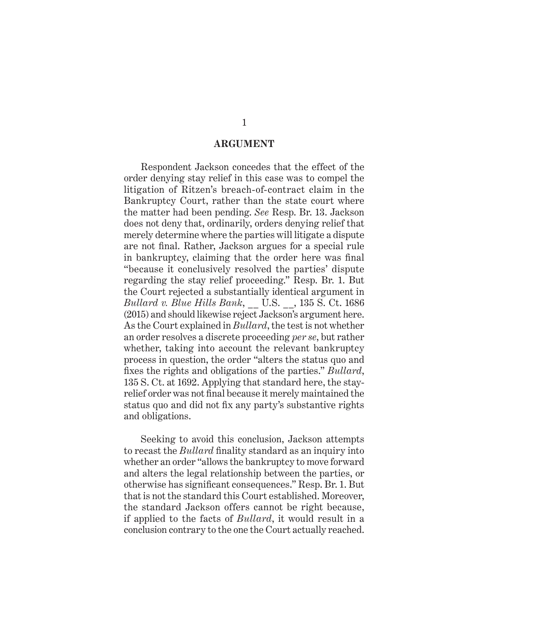#### **ARGUMENT**

Respondent Jackson concedes that the effect of the order denying stay relief in this case was to compel the litigation of Ritzen's breach-of-contract claim in the Bankruptcy Court, rather than the state court where the matter had been pending. *See* Resp. Br. 13. Jackson does not deny that, ordinarily, orders denying relief that merely determine where the parties will litigate a dispute are not final. Rather, Jackson argues for a special rule in bankruptcy, claiming that the order here was final "because it conclusively resolved the parties' dispute regarding the stay relief proceeding." Resp. Br. 1. But the Court rejected a substantially identical argument in *Bullard v. Blue Hills Bank*, \_\_ U.S. \_\_, 135 S. Ct. 1686 (2015) and should likewise reject Jackson's argument here. As the Court explained in *Bullard*, the test is not whether an order resolves a discrete proceeding *per se*, but rather whether, taking into account the relevant bankruptcy process in question, the order "alters the status quo and fixes the rights and obligations of the parties." *Bullard*, 135 S. Ct. at 1692. Applying that standard here, the stayrelief order was not final because it merely maintained the status quo and did not fix any party's substantive rights and obligations.

Seeking to avoid this conclusion, Jackson attempts to recast the *Bullard* finality standard as an inquiry into whether an order "allows the bankruptcy to move forward and alters the legal relationship between the parties, or otherwise has significant consequences." Resp. Br. 1. But that is not the standard this Court established. Moreover, the standard Jackson offers cannot be right because, if applied to the facts of *Bullard*, it would result in a conclusion contrary to the one the Court actually reached.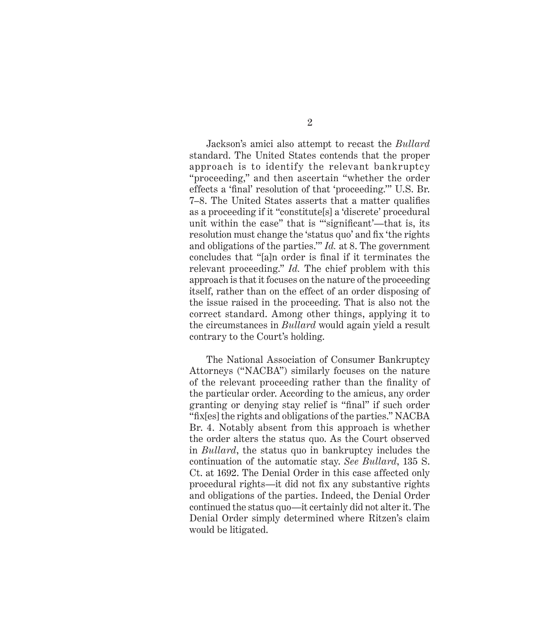Jackson's amici also attempt to recast the *Bullard* standard. The United States contends that the proper approach is to identify the relevant bankruptcy "proceeding," and then ascertain "whether the order effects a 'final' resolution of that 'proceeding.'" U.S. Br. 7–8. The United States asserts that a matter qualifies as a proceeding if it "constitute[s] a 'discrete' procedural unit within the case" that is "'significant'—that is, its resolution must change the 'status quo' and fix 'the rights and obligations of the parties.'" *Id.* at 8. The government concludes that "[a]n order is final if it terminates the relevant proceeding." *Id.* The chief problem with this approach is that it focuses on the nature of the proceeding itself, rather than on the effect of an order disposing of the issue raised in the proceeding. That is also not the correct standard. Among other things, applying it to the circumstances in *Bullard* would again yield a result contrary to the Court's holding.

The National Association of Consumer Bankruptcy Attorneys ("NACBA") similarly focuses on the nature of the relevant proceeding rather than the finality of the particular order. According to the amicus, any order granting or denying stay relief is "final" if such order "fix[es] the rights and obligations of the parties." NACBA Br. 4. Notably absent from this approach is whether the order alters the status quo. As the Court observed in *Bullard*, the status quo in bankruptcy includes the continuation of the automatic stay. *See Bullard*, 135 S. Ct. at 1692. The Denial Order in this case affected only procedural rights—it did not fix any substantive rights and obligations of the parties. Indeed, the Denial Order continued the status quo—it certainly did not alter it. The Denial Order simply determined where Ritzen's claim would be litigated.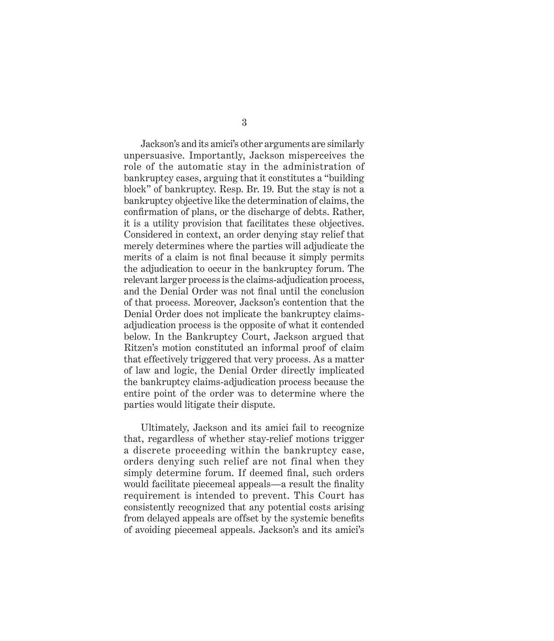Jackson's and its amici's other arguments are similarly unpersuasive. Importantly, Jackson misperceives the role of the automatic stay in the administration of bankruptcy cases, arguing that it constitutes a "building block" of bankruptcy. Resp. Br. 19. But the stay is not a bankruptcy objective like the determination of claims, the confirmation of plans, or the discharge of debts. Rather, it is a utility provision that facilitates these objectives. Considered in context, an order denying stay relief that merely determines where the parties will adjudicate the merits of a claim is not final because it simply permits the adjudication to occur in the bankruptcy forum. The relevant larger process is the claims-adjudication process, and the Denial Order was not final until the conclusion of that process. Moreover, Jackson's contention that the Denial Order does not implicate the bankruptcy claimsadjudication process is the opposite of what it contended below. In the Bankruptcy Court, Jackson argued that Ritzen's motion constituted an informal proof of claim that effectively triggered that very process. As a matter of law and logic, the Denial Order directly implicated the bankruptcy claims-adjudication process because the entire point of the order was to determine where the parties would litigate their dispute.

Ultimately, Jackson and its amici fail to recognize that, regardless of whether stay-relief motions trigger a discrete proceeding within the bankruptcy case, orders denying such relief are not final when they simply determine forum. If deemed final, such orders would facilitate piecemeal appeals—a result the finality requirement is intended to prevent. This Court has consistently recognized that any potential costs arising from delayed appeals are offset by the systemic benefits of avoiding piecemeal appeals. Jackson's and its amici's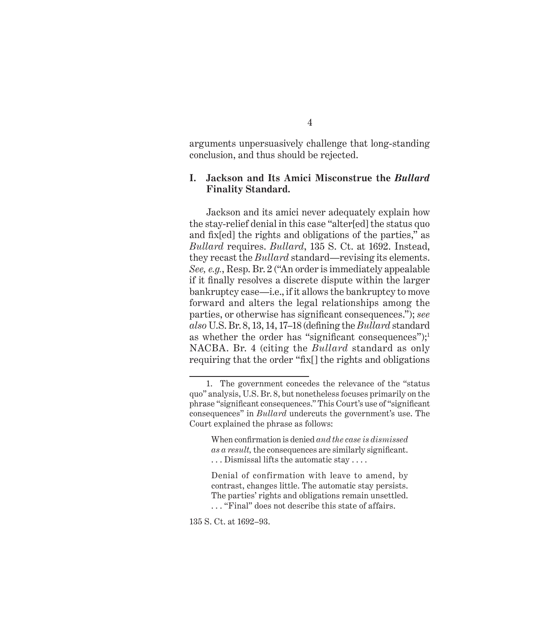arguments unpersuasively challenge that long-standing conclusion, and thus should be rejected.

### **I. Jackson and Its Amici Misconstrue the** *Bullard*  **Finality Standard.**

Jackson and its amici never adequately explain how the stay-relief denial in this case "alter[ed] the status quo and fix[ed] the rights and obligations of the parties," as *Bullard* requires. *Bullard*, 135 S. Ct. at 1692. Instead, they recast the *Bullard* standard—revising its elements. *See, e.g.*, Resp. Br. 2 ("An order is immediately appealable if it finally resolves a discrete dispute within the larger bankruptcy case—i.e., if it allows the bankruptcy to move forward and alters the legal relationships among the parties, or otherwise has significant consequences."); *see also* U.S. Br. 8, 13, 14, 17–18 (defining the *Bullard* standard as whether the order has "significant consequences"); $\cdot$ NACBA. Br. 4 (citing the *Bullard* standard as only requiring that the order "fix[] the rights and obligations

135 S. Ct. at 1692–93.

<sup>1.</sup> The government concedes the relevance of the "status quo" analysis, U.S. Br. 8, but nonetheless focuses primarily on the phrase "significant consequences." This Court's use of "significant consequences" in *Bullard* undercuts the government's use. The Court explained the phrase as follows:

When confirmation is denied *and the case is dismissed as a result,* the consequences are similarly significant. . . . Dismissal lifts the automatic stay . . . .

Denial of confirmation with leave to amend, by contrast, changes little. The automatic stay persists. The parties' rights and obligations remain unsettled.

<sup>. . . &</sup>quot;Final" does not describe this state of affairs.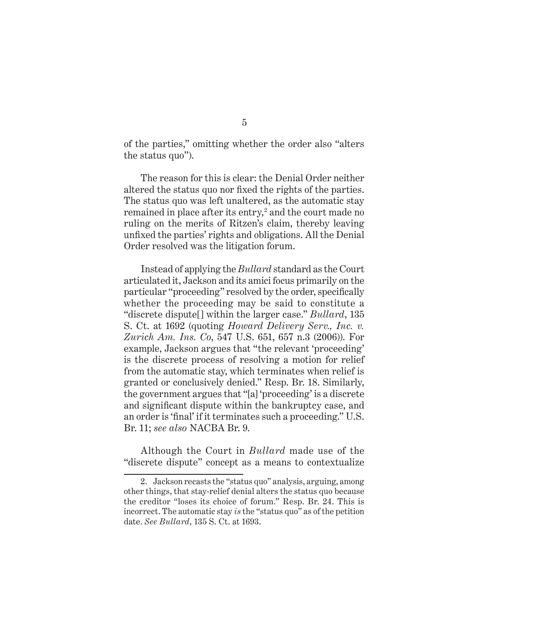of the parties," omitting whether the order also "alters the status quo").

The reason for this is clear: the Denial Order neither altered the status quo nor fixed the rights of the parties. The status quo was left unaltered, as the automatic stay remained in place after its entry,<sup>2</sup> and the court made no ruling on the merits of Ritzen's claim, thereby leaving unfixed the parties' rights and obligations. All the Denial Order resolved was the litigation forum.

Instead of applying the *Bullard* standard as the Court articulated it, Jackson and its amici focus primarily on the particular "proceeding" resolved by the order, specifically whether the proceeding may be said to constitute a "discrete dispute[] within the larger case." *Bullard*, 135 S. Ct. at 1692 (quoting *Howard Delivery Serv., Inc. v. Zurich Am. Ins. Co*, 547 U.S. 651, 657 n.3 (2006)). For example, Jackson argues that "the relevant 'proceeding' is the discrete process of resolving a motion for relief from the automatic stay, which terminates when relief is granted or conclusively denied." Resp. Br. 18. Similarly, the government argues that "[a] 'proceeding' is a discrete and significant dispute within the bankruptcy case, and an order is 'final' if it terminates such a proceeding." U.S. Br. 11; *see also* NACBA Br. 9.

Although the Court in *Bullard* made use of the "discrete dispute" concept as a means to contextualize

<sup>2.</sup> Jackson recasts the "status quo" analysis, arguing, among other things, that stay-relief denial alters the status quo because the creditor "loses its choice of forum." Resp. Br. 24. This is incorrect. The automatic stay *is* the "status quo" as of the petition date. *See Bullard*, 135 S. Ct. at 1693.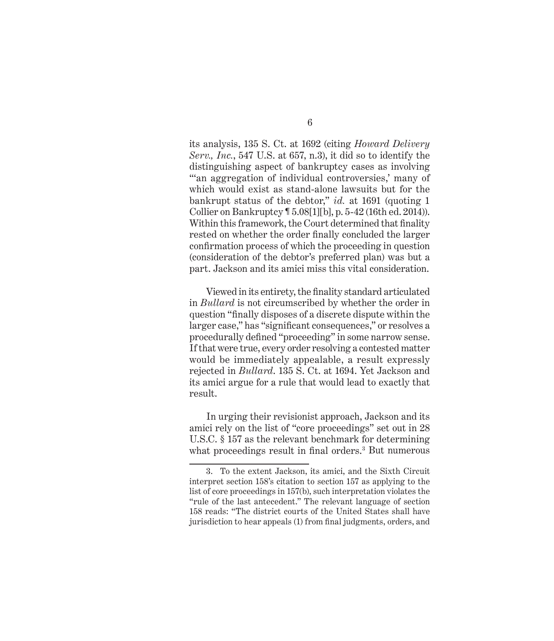its analysis, 135 S. Ct. at 1692 (citing *Howard Delivery Serv., Inc.*, 547 U.S. at 657, n.3), it did so to identify the distinguishing aspect of bankruptcy cases as involving "" an aggregation of individual controversies,' many of which would exist as stand-alone lawsuits but for the bankrupt status of the debtor," *id.* at 1691 (quoting 1 Collier on Bankruptcy ¶ 5.08[1][b], p. 5-42 (16th ed. 2014)). Within this framework, the Court determined that finality rested on whether the order finally concluded the larger confirmation process of which the proceeding in question (consideration of the debtor's preferred plan) was but a part. Jackson and its amici miss this vital consideration.

Viewed in its entirety, the finality standard articulated in *Bullard* is not circumscribed by whether the order in question "finally disposes of a discrete dispute within the larger case," has "significant consequences," or resolves a procedurally defined "proceeding" in some narrow sense. If that were true, every order resolving a contested matter would be immediately appealable, a result expressly rejected in *Bullard*. 135 S. Ct. at 1694. Yet Jackson and its amici argue for a rule that would lead to exactly that result.

In urging their revisionist approach, Jackson and its amici rely on the list of "core proceedings" set out in 28 U.S.C. § 157 as the relevant benchmark for determining what proceedings result in final orders.<sup>3</sup> But numerous

<sup>3.</sup> To the extent Jackson, its amici, and the Sixth Circuit interpret section 158's citation to section 157 as applying to the list of core proceedings in 157(b), such interpretation violates the "rule of the last antecedent." The relevant language of section 158 reads: "The district courts of the United States shall have jurisdiction to hear appeals (1) from final judgments, orders, and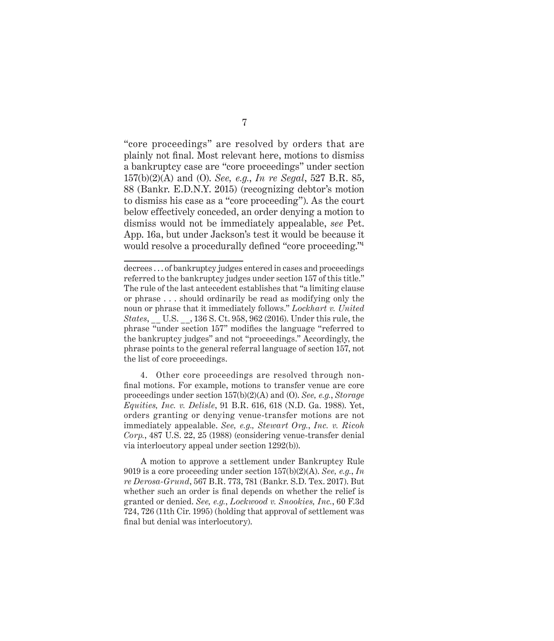"core proceedings" are resolved by orders that are plainly not final. Most relevant here, motions to dismiss a bankruptcy case are "core proceedings" under section 157(b)(2)(A) and (O). *See, e.g.*, *In re Segal*, 527 B.R. 85, 88 (Bankr. E.D.N.Y. 2015) (recognizing debtor's motion to dismiss his case as a "core proceeding"). As the court below effectively conceded, an order denying a motion to dismiss would not be immediately appealable, *see* Pet. App. 16a, but under Jackson's test it would be because it would resolve a procedurally defined "core proceeding."<sup>4</sup>

4. Other core proceedings are resolved through nonfinal motions. For example, motions to transfer venue are core proceedings under section 157(b)(2)(A) and (O). *See, e.g.*, *Storage Equities, Inc. v. Delisle*, 91 B.R. 616, 618 (N.D. Ga. 1988). Yet, orders granting or denying venue-transfer motions are not immediately appealable. *See, e.g., Stewart Org.*, *Inc. v. Ricoh Corp.*, 487 U.S. 22, 25 (1988) (considering venue-transfer denial via interlocutory appeal under section 1292(b)).

A motion to approve a settlement under Bankruptcy Rule 9019 is a core proceeding under section 157(b)(2)(A). *See, e.g.*, *In re Derosa-Grund*, 567 B.R. 773, 781 (Bankr. S.D. Tex. 2017). But whether such an order is final depends on whether the relief is granted or denied. *See, e.g.*, *Lockwood v. Snookies, Inc.*, 60 F.3d 724, 726 (11th Cir. 1995) (holding that approval of settlement was final but denial was interlocutory).

decrees . . . of bankruptcy judges entered in cases and proceedings referred to the bankruptcy judges under section 157 of this title." The rule of the last antecedent establishes that "a limiting clause or phrase . . . should ordinarily be read as modifying only the noun or phrase that it immediately follows." *Lockhart v. United States*, \_\_ U.S. \_\_, 136 S. Ct. 958, 962 (2016). Under this rule, the phrase "under section 157" modifies the language "referred to the bankruptcy judges" and not "proceedings." Accordingly, the phrase points to the general referral language of section 157, not the list of core proceedings.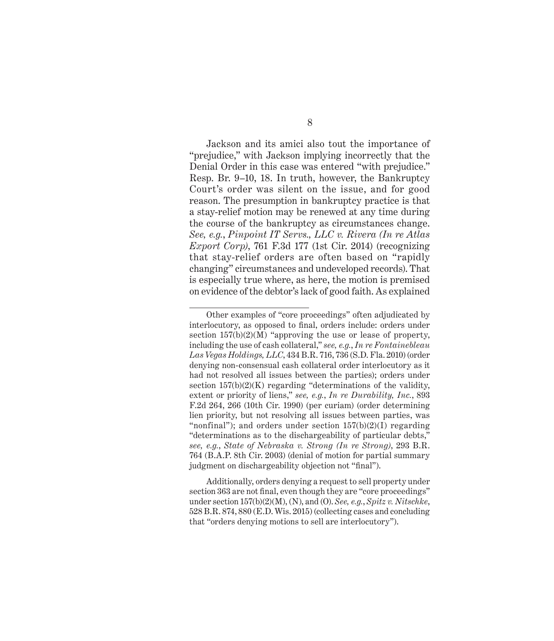Jackson and its amici also tout the importance of "prejudice," with Jackson implying incorrectly that the Denial Order in this case was entered "with prejudice." Resp. Br. 9–10, 18. In truth, however, the Bankruptcy Court's order was silent on the issue, and for good reason. The presumption in bankruptcy practice is that a stay-relief motion may be renewed at any time during the course of the bankruptcy as circumstances change. *See, e.g.*, *Pinpoint IT Servs., LLC v. Rivera (In re Atlas Export Corp)*, 761 F.3d 177 (1st Cir. 2014) (recognizing that stay-relief orders are often based on "rapidly changing" circumstances and undeveloped records). That is especially true where, as here, the motion is premised on evidence of the debtor's lack of good faith. As explained

Additionally, orders denying a request to sell property under section 363 are not final, even though they are "core proceedings" under section 157(b)(2)(M), (N), and (O). *See, e.g.*, *Spitz v. Nitschke*, 528 B.R. 874, 880 (E.D. Wis. 2015) (collecting cases and concluding that "orders denying motions to sell are interlocutory").

Other examples of "core proceedings" often adjudicated by interlocutory, as opposed to final, orders include: orders under section  $157(b)(2)(M)$  "approving the use or lease of property, including the use of cash collateral," *see, e.g.*, *In re Fontainebleau Las Vegas Holdings, LLC*, 434 B.R. 716, 736 (S.D. Fla. 2010) (order denying non-consensual cash collateral order interlocutory as it had not resolved all issues between the parties); orders under section  $157(b)(2)(K)$  regarding "determinations of the validity, extent or priority of liens," *see, e.g.*, *In re Durability, Inc.*, 893 F.2d 264, 266 (10th Cir. 1990) (per curiam) (order determining lien priority, but not resolving all issues between parties, was "nonfinal"); and orders under section  $157(b)(2)(I)$  regarding "determinations as to the dischargeability of particular debts," *see, e.g.*, *State of Nebraska v. Strong (In re Strong)*, 293 B.R. 764 (B.A.P. 8th Cir. 2003) (denial of motion for partial summary judgment on dischargeability objection not "final").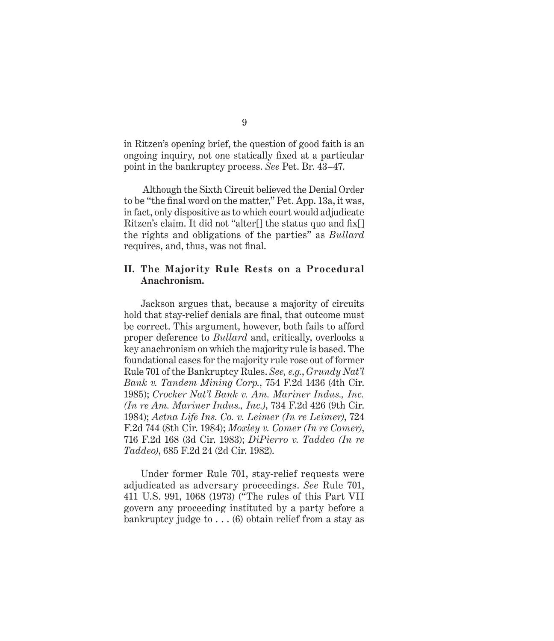in Ritzen's opening brief, the question of good faith is an ongoing inquiry, not one statically fixed at a particular point in the bankruptcy process. *See* Pet. Br. 43–47.

 Although the Sixth Circuit believed the Denial Order to be "the final word on the matter," Pet. App. 13a, it was, in fact, only dispositive as to which court would adjudicate Ritzen's claim. It did not "alter[] the status quo and fix[] the rights and obligations of the parties" as *Bullard* requires, and, thus, was not final.

### **II. The Majority Rule Rests on a Procedural Anachronism.**

Jackson argues that, because a majority of circuits hold that stay-relief denials are final, that outcome must be correct. This argument, however, both fails to afford proper deference to *Bullard* and, critically, overlooks a key anachronism on which the majority rule is based. The foundational cases for the majority rule rose out of former Rule 701 of the Bankruptcy Rules. *See, e.g.*, *Grundy Nat'l Bank v. Tandem Mining Corp.*, 754 F.2d 1436 (4th Cir. 1985); *Crocker Nat'l Bank v. Am. Mariner Indus., Inc. (In re Am. Mariner Indus., Inc.)*, 734 F.2d 426 (9th Cir. 1984); *Aetna Life Ins. Co. v. Leimer (In re Leimer)*, 724 F.2d 744 (8th Cir. 1984); *Moxley v. Comer (In re Comer)*, 716 F.2d 168 (3d Cir. 1983); *DiPierro v. Taddeo (In re Taddeo)*, 685 F.2d 24 (2d Cir. 1982).

Under former Rule 701, stay-relief requests were adjudicated as adversary proceedings. *See* Rule 701, 411 U.S. 991, 1068 (1973) ("The rules of this Part VII govern any proceeding instituted by a party before a bankruptcy judge to . . . (6) obtain relief from a stay as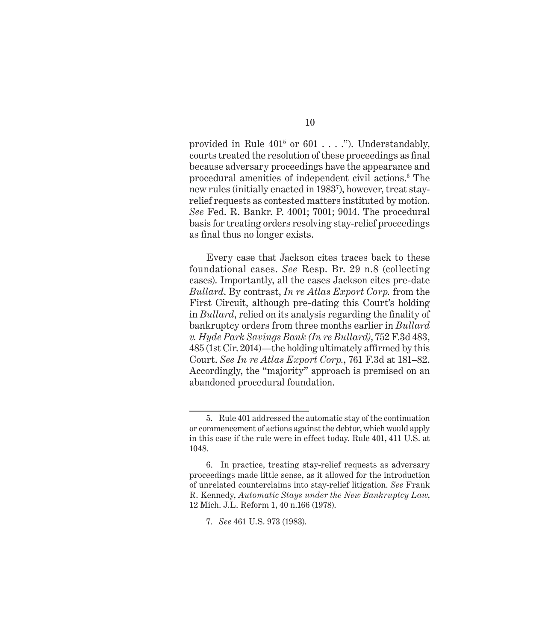provided in Rule  $401^5$  or  $601...$ ."). Understandably, courts treated the resolution of these proceedings as final because adversary proceedings have the appearance and procedural amenities of independent civil actions.6 The new rules (initially enacted in 19837 ), however, treat stayrelief requests as contested matters instituted by motion. *See* Fed. R. Bankr. P. 4001; 7001; 9014. The procedural basis for treating orders resolving stay-relief proceedings as final thus no longer exists.

Every case that Jackson cites traces back to these foundational cases. *See* Resp. Br. 29 n.8 (collecting cases). Importantly, all the cases Jackson cites pre-date *Bullard*. By contrast, *In re Atlas Export Corp.* from the First Circuit, although pre-dating this Court's holding in *Bullard*, relied on its analysis regarding the finality of bankruptcy orders from three months earlier in *Bullard v. Hyde Park Savings Bank (In re Bullard)*, 752 F.3d 483, 485 (1st Cir. 2014)—the holding ultimately affirmed by this Court. *See In re Atlas Export Corp.*, 761 F.3d at 181–82. Accordingly, the "majority" approach is premised on an abandoned procedural foundation.

<sup>5.</sup> Rule 401 addressed the automatic stay of the continuation or commencement of actions against the debtor, which would apply in this case if the rule were in effect today. Rule 401, 411 U.S. at 1048.

<sup>6.</sup> In practice, treating stay-relief requests as adversary proceedings made little sense, as it allowed for the introduction of unrelated counterclaims into stay-relief litigation. *See* Frank R. Kennedy, *Automatic Stays under the New Bankruptcy Law*, 12 Mich. J.L. Reform 1, 40 n.166 (1978).

<sup>7.</sup> *See* 461 U.S. 973 (1983).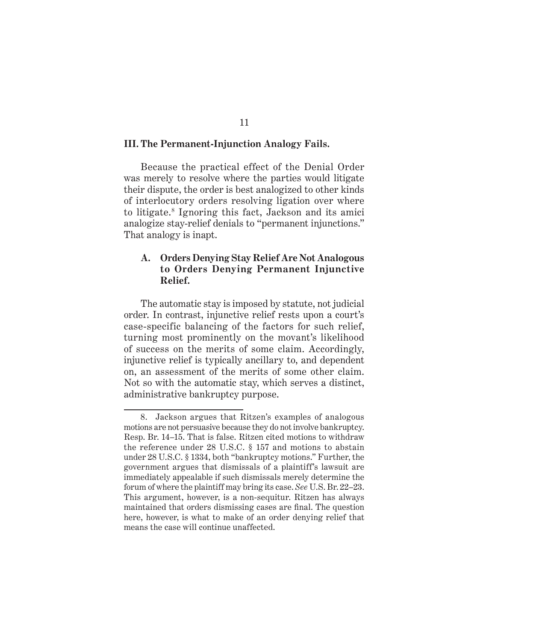#### **III. The Permanent-Injunction Analogy Fails.**

Because the practical effect of the Denial Order was merely to resolve where the parties would litigate their dispute, the order is best analogized to other kinds of interlocutory orders resolving ligation over where to litigate.8 Ignoring this fact, Jackson and its amici analogize stay-relief denials to "permanent injunctions." That analogy is inapt.

### **A. Orders Denying Stay Relief Are Not Analogous to Orders Denying Permanent Injunctive Relief.**

The automatic stay is imposed by statute, not judicial order. In contrast, injunctive relief rests upon a court's case-specific balancing of the factors for such relief, turning most prominently on the movant's likelihood of success on the merits of some claim. Accordingly, injunctive relief is typically ancillary to, and dependent on, an assessment of the merits of some other claim. Not so with the automatic stay, which serves a distinct, administrative bankruptcy purpose.

#### 11

<sup>8.</sup> Jackson argues that Ritzen's examples of analogous motions are not persuasive because they do not involve bankruptcy. Resp. Br. 14–15. That is false. Ritzen cited motions to withdraw the reference under 28 U.S.C. § 157 and motions to abstain under 28 U.S.C. § 1334, both "bankruptcy motions." Further, the government argues that dismissals of a plaintiff's lawsuit are immediately appealable if such dismissals merely determine the forum of where the plaintiff may bring its case. *See* U.S. Br. 22–23. This argument, however, is a non-sequitur. Ritzen has always maintained that orders dismissing cases are final. The question here, however, is what to make of an order denying relief that means the case will continue unaffected.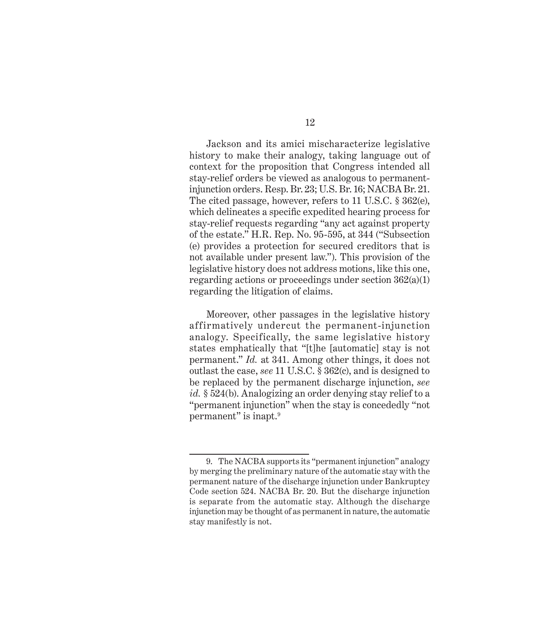Jackson and its amici mischaracterize legislative history to make their analogy, taking language out of context for the proposition that Congress intended all stay-relief orders be viewed as analogous to permanentinjunction orders. Resp. Br. 23; U.S. Br. 16; NACBA Br. 21. The cited passage, however, refers to 11 U.S.C. § 362(e), which delineates a specific expedited hearing process for stay-relief requests regarding "any act against property of the estate." H.R. Rep. No. 95-595, at 344 ("Subsection (e) provides a protection for secured creditors that is not available under present law."). This provision of the legislative history does not address motions, like this one, regarding actions or proceedings under section 362(a)(1) regarding the litigation of claims.

Moreover, other passages in the legislative history affirmatively undercut the permanent-injunction analogy. Specifically, the same legislative history states emphatically that "[t]he [automatic] stay is not permanent." *Id.* at 341. Among other things, it does not outlast the case, *see* 11 U.S.C. § 362(c), and is designed to be replaced by the permanent discharge injunction, *see id.* § 524(b). Analogizing an order denying stay relief to a "permanent injunction" when the stay is concededly "not permanent" is inapt.9

<sup>9.</sup> The NACBA supports its "permanent injunction" analogy by merging the preliminary nature of the automatic stay with the permanent nature of the discharge injunction under Bankruptcy Code section 524. NACBA Br. 20. But the discharge injunction is separate from the automatic stay. Although the discharge injunction may be thought of as permanent in nature, the automatic stay manifestly is not.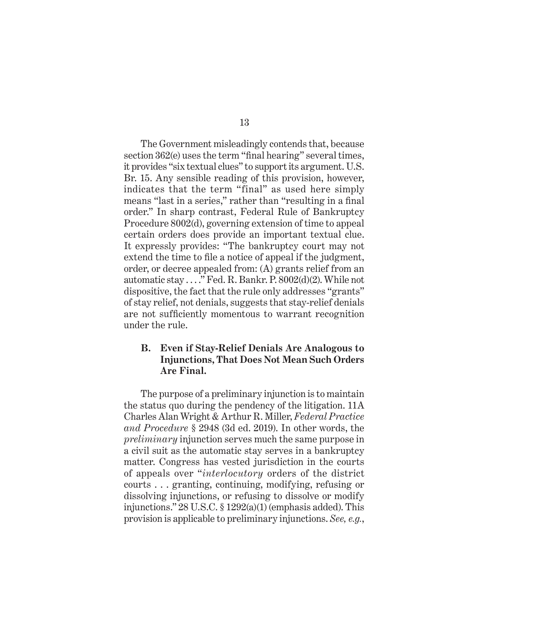The Government misleadingly contends that, because section 362(e) uses the term "final hearing" several times, it provides "six textual clues" to support its argument. U.S. Br. 15. Any sensible reading of this provision, however, indicates that the term "final" as used here simply means "last in a series," rather than "resulting in a final order." In sharp contrast, Federal Rule of Bankruptcy Procedure 8002(d), governing extension of time to appeal certain orders does provide an important textual clue. It expressly provides: "The bankruptcy court may not extend the time to file a notice of appeal if the judgment, order, or decree appealed from: (A) grants relief from an automatic stay . . . ." Fed. R. Bankr. P. 8002(d)(2). While not dispositive, the fact that the rule only addresses "grants" of stay relief, not denials, suggests that stay-relief denials are not sufficiently momentous to warrant recognition under the rule.

### **B. Even if Stay-Relief Denials Are Analogous to Injunctions, That Does Not Mean Such Orders Are Final.**

The purpose of a preliminary injunction is to maintain the status quo during the pendency of the litigation. 11A Charles Alan Wright & Arthur R. Miller, *Federal Practice and Procedure* § 2948 (3d ed. 2019). In other words, the *preliminary* injunction serves much the same purpose in a civil suit as the automatic stay serves in a bankruptcy matter. Congress has vested jurisdiction in the courts of appeals over "*interlocutory* orders of the district courts . . . granting, continuing, modifying, refusing or dissolving injunctions, or refusing to dissolve or modify injunctions." 28 U.S.C. § 1292(a)(1) (emphasis added). This provision is applicable to preliminary injunctions. *See, e.g.*,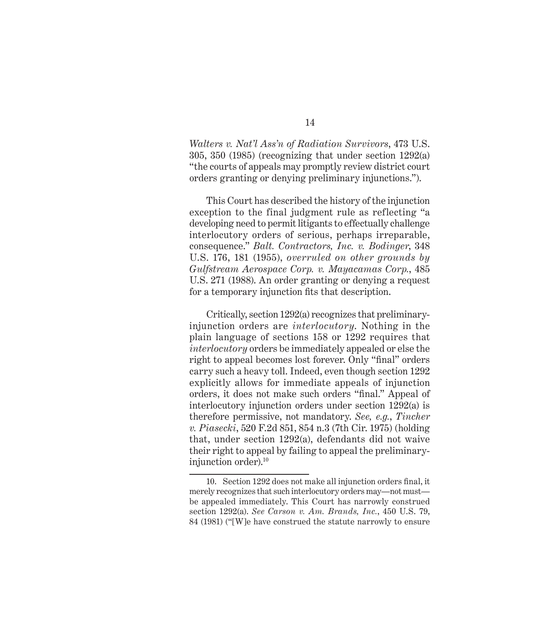*Walters v. Nat'l Ass'n of Radiation Survivors*, 473 U.S. 305, 350 (1985) (recognizing that under section 1292(a) "the courts of appeals may promptly review district court orders granting or denying preliminary injunctions.").

This Court has described the history of the injunction exception to the final judgment rule as reflecting "a developing need to permit litigants to effectually challenge interlocutory orders of serious, perhaps irreparable, consequence." *Balt. Contractors, Inc. v. Bodinger*, 348 U.S. 176, 181 (1955), *overruled on other grounds by Gulfstream Aerospace Corp. v. Mayacamas Corp.*, 485 U.S. 271 (1988). An order granting or denying a request for a temporary injunction fits that description.

Critically, section 1292(a) recognizes that preliminaryinjunction orders are *interlocutory*. Nothing in the plain language of sections 158 or 1292 requires that *interlocutory* orders be immediately appealed or else the right to appeal becomes lost forever. Only "final" orders carry such a heavy toll. Indeed, even though section 1292 explicitly allows for immediate appeals of injunction orders, it does not make such orders "final." Appeal of interlocutory injunction orders under section 1292(a) is therefore permissive, not mandatory. *See, e.g.*, *Tincher v. Piasecki*, 520 F.2d 851, 854 n.3 (7th Cir. 1975) (holding that, under section 1292(a), defendants did not waive their right to appeal by failing to appeal the preliminaryinjunction order).10

<sup>10.</sup> Section 1292 does not make all injunction orders final, it merely recognizes that such interlocutory orders may—not must be appealed immediately. This Court has narrowly construed section 1292(a). *See Carson v. Am. Brands, Inc.*, 450 U.S. 79, 84 (1981) ("[W]e have construed the statute narrowly to ensure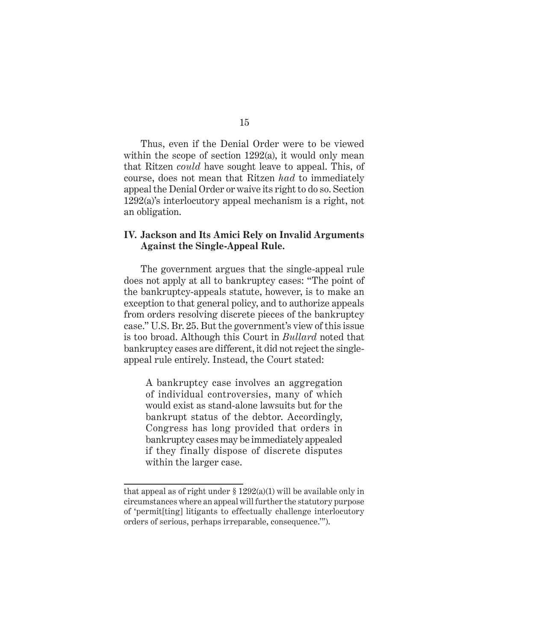Thus, even if the Denial Order were to be viewed within the scope of section 1292(a), it would only mean that Ritzen *could* have sought leave to appeal. This, of course, does not mean that Ritzen *had* to immediately appeal the Denial Order or waive its right to do so. Section 1292(a)'s interlocutory appeal mechanism is a right, not an obligation.

### **IV. Jackson and Its Amici Rely on Invalid Arguments Against the Single-Appeal Rule.**

The government argues that the single-appeal rule does not apply at all to bankruptcy cases: "The point of the bankruptcy-appeals statute, however, is to make an exception to that general policy, and to authorize appeals from orders resolving discrete pieces of the bankruptcy case." U.S. Br. 25. But the government's view of this issue is too broad. Although this Court in *Bullard* noted that bankruptcy cases are different, it did not reject the singleappeal rule entirely. Instead, the Court stated:

A bankruptcy case involves an aggregation of individual controversies, many of which would exist as stand-alone lawsuits but for the bankrupt status of the debtor. Accordingly, Congress has long provided that orders in bankruptcy cases may be immediately appealed if they finally dispose of discrete disputes within the larger case.

that appeal as of right under  $\S 1292(a)(1)$  will be available only in circumstances where an appeal will further the statutory purpose of 'permit[ting] litigants to effectually challenge interlocutory orders of serious, perhaps irreparable, consequence.'").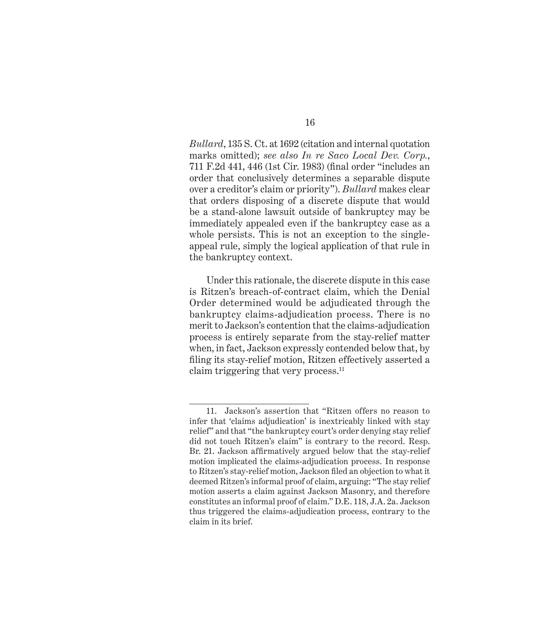*Bullard*, 135 S. Ct. at 1692 (citation and internal quotation marks omitted); *see also In re Saco Local Dev. Corp.*, 711 F.2d 441, 446 (1st Cir. 1983) (final order "includes an order that conclusively determines a separable dispute over a creditor's claim or priority"). *Bullard* makes clear that orders disposing of a discrete dispute that would be a stand-alone lawsuit outside of bankruptcy may be immediately appealed even if the bankruptcy case as a whole persists. This is not an exception to the singleappeal rule, simply the logical application of that rule in the bankruptcy context.

Under this rationale, the discrete dispute in this case is Ritzen's breach-of-contract claim, which the Denial Order determined would be adjudicated through the bankruptcy claims-adjudication process. There is no merit to Jackson's contention that the claims-adjudication process is entirely separate from the stay-relief matter when, in fact, Jackson expressly contended below that, by filing its stay-relief motion, Ritzen effectively asserted a claim triggering that very process.<sup>11</sup>

<sup>11.</sup> Jackson's assertion that "Ritzen offers no reason to infer that 'claims adjudication' is inextricably linked with stay relief" and that "the bankruptcy court's order denying stay relief did not touch Ritzen's claim" is contrary to the record. Resp. Br. 21. Jackson affirmatively argued below that the stay-relief motion implicated the claims-adjudication process. In response to Ritzen's stay-relief motion, Jackson filed an objection to what it deemed Ritzen's informal proof of claim, arguing: "The stay relief motion asserts a claim against Jackson Masonry, and therefore constitutes an informal proof of claim." D.E. 118, J.A. 2a. Jackson thus triggered the claims-adjudication process, contrary to the claim in its brief.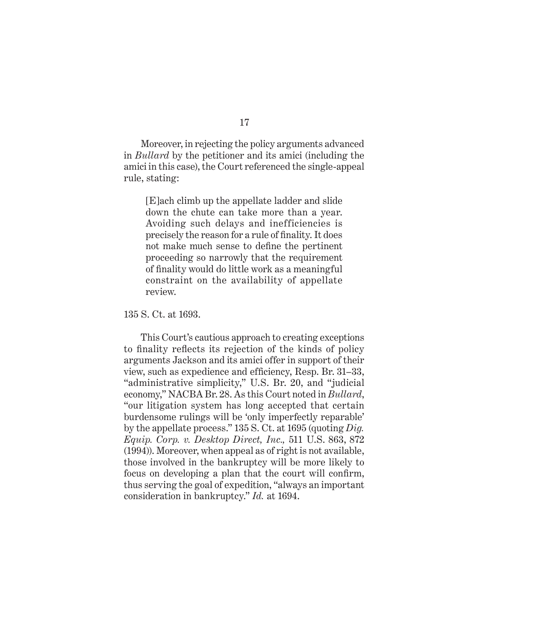Moreover, in rejecting the policy arguments advanced in *Bullard* by the petitioner and its amici (including the amici in this case), the Court referenced the single-appeal rule, stating:

[E]ach climb up the appellate ladder and slide down the chute can take more than a year. Avoiding such delays and inefficiencies is precisely the reason for a rule of finality. It does not make much sense to define the pertinent proceeding so narrowly that the requirement of finality would do little work as a meaningful constraint on the availability of appellate review.

135 S. Ct. at 1693.

This Court's cautious approach to creating exceptions to finality reflects its rejection of the kinds of policy arguments Jackson and its amici offer in support of their view, such as expedience and efficiency, Resp. Br. 31–33, "administrative simplicity," U.S. Br. 20, and "judicial economy," NACBA Br. 28. As this Court noted in *Bullard*, "our litigation system has long accepted that certain burdensome rulings will be 'only imperfectly reparable' by the appellate process." 135 S. Ct. at 1695 (quoting *Dig. Equip. Corp. v. Desktop Direct, Inc.,* 511 U.S. 863, 872 (1994)). Moreover, when appeal as of right is not available, those involved in the bankruptcy will be more likely to focus on developing a plan that the court will confirm, thus serving the goal of expedition, "always an important consideration in bankruptcy." *Id.* at 1694.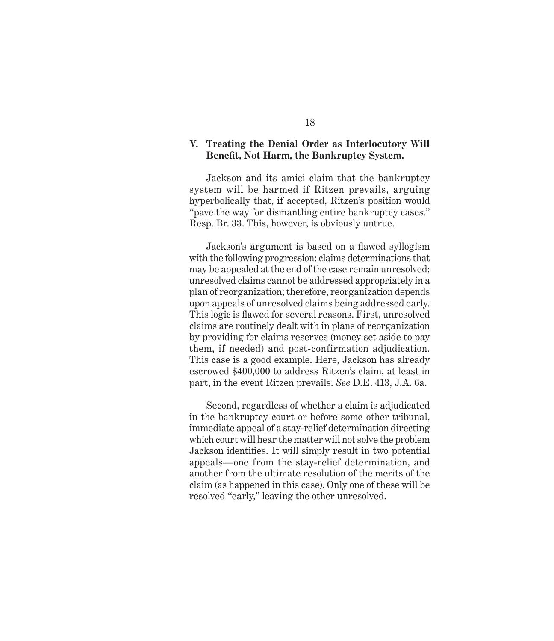#### **V. Treating the Denial Order as Interlocutory Will Benefit, Not Harm, the Bankruptcy System.**

Jackson and its amici claim that the bankruptcy system will be harmed if Ritzen prevails, arguing hyperbolically that, if accepted, Ritzen's position would "pave the way for dismantling entire bankruptcy cases." Resp. Br. 33. This, however, is obviously untrue.

Jackson's argument is based on a flawed syllogism with the following progression: claims determinations that may be appealed at the end of the case remain unresolved; unresolved claims cannot be addressed appropriately in a plan of reorganization; therefore, reorganization depends upon appeals of unresolved claims being addressed early. This logic is flawed for several reasons. First, unresolved claims are routinely dealt with in plans of reorganization by providing for claims reserves (money set aside to pay them, if needed) and post-confirmation adjudication. This case is a good example. Here, Jackson has already escrowed \$400,000 to address Ritzen's claim, at least in part, in the event Ritzen prevails. *See* D.E. 413, J.A. 6a.

Second, regardless of whether a claim is adjudicated in the bankruptcy court or before some other tribunal, immediate appeal of a stay-relief determination directing which court will hear the matter will not solve the problem Jackson identifies. It will simply result in two potential appeals—one from the stay-relief determination, and another from the ultimate resolution of the merits of the claim (as happened in this case). Only one of these will be resolved "early," leaving the other unresolved.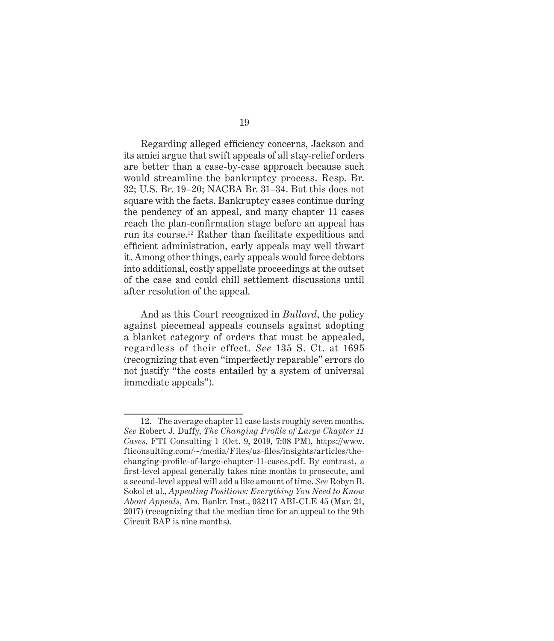Regarding alleged efficiency concerns, Jackson and its amici argue that swift appeals of all stay-relief orders are better than a case-by-case approach because such would streamline the bankruptcy process. Resp. Br. 32; U.S. Br. 19–20; NACBA Br. 31–34. But this does not square with the facts. Bankruptcy cases continue during the pendency of an appeal, and many chapter 11 cases reach the plan-confirmation stage before an appeal has run its course.12 Rather than facilitate expeditious and efficient administration, early appeals may well thwart it. Among other things, early appeals would force debtors into additional, costly appellate proceedings at the outset of the case and could chill settlement discussions until after resolution of the appeal.

And as this Court recognized in *Bullard*, the policy against piecemeal appeals counsels against adopting a blanket category of orders that must be appealed, regardless of their effect. *See* 135 S. Ct. at 1695 (recognizing that even "imperfectly reparable" errors do not justify "the costs entailed by a system of universal immediate appeals").

<sup>12.</sup> The average chapter 11 case lasts roughly seven months. *See* Robert J. Duffy, *The Changing Profile of Large Chapter 11 Cases*, FTI Consulting 1 (Oct. 9, 2019, 7:08 PM), https://www. fticonsulting.com/~/media/Files/us-files/insights/articles/thechanging-profile-of-large-chapter-11-cases.pdf. By contrast, a first-level appeal generally takes nine months to prosecute, and a second-level appeal will add a like amount of time. *See* Robyn B. Sokol et al., *Appealing Positions: Everything You Need to Know About Appeals*, Am. Bankr. Inst., 032117 ABI-CLE 45 (Mar. 21, 2017) (recognizing that the median time for an appeal to the 9th Circuit BAP is nine months).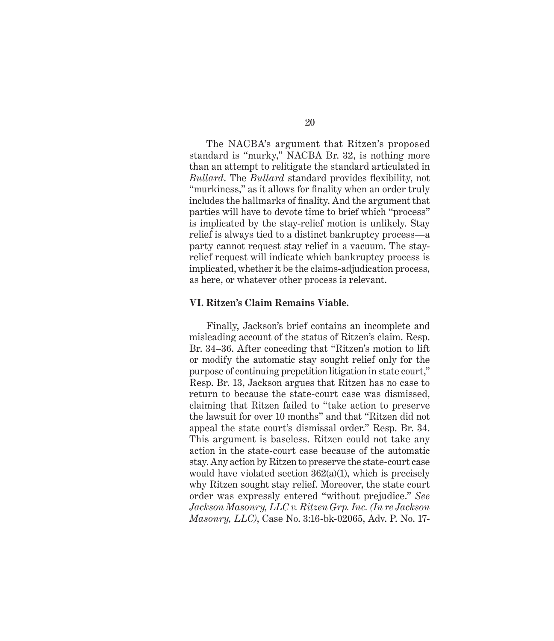The NACBA's argument that Ritzen's proposed standard is "murky," NACBA Br. 32, is nothing more than an attempt to relitigate the standard articulated in *Bullard*. The *Bullard* standard provides flexibility, not "murkiness," as it allows for finality when an order truly includes the hallmarks of finality. And the argument that parties will have to devote time to brief which "process" is implicated by the stay-relief motion is unlikely. Stay relief is always tied to a distinct bankruptcy process—a party cannot request stay relief in a vacuum. The stayrelief request will indicate which bankruptcy process is implicated, whether it be the claims-adjudication process, as here, or whatever other process is relevant.

#### **VI. Ritzen's Claim Remains Viable.**

Finally, Jackson's brief contains an incomplete and misleading account of the status of Ritzen's claim. Resp. Br. 34–36. After conceding that "Ritzen's motion to lift or modify the automatic stay sought relief only for the purpose of continuing prepetition litigation in state court," Resp. Br. 13, Jackson argues that Ritzen has no case to return to because the state-court case was dismissed, claiming that Ritzen failed to "take action to preserve the lawsuit for over 10 months" and that "Ritzen did not appeal the state court's dismissal order." Resp. Br. 34. This argument is baseless. Ritzen could not take any action in the state-court case because of the automatic stay. Any action by Ritzen to preserve the state-court case would have violated section  $362(a)(1)$ , which is precisely why Ritzen sought stay relief. Moreover, the state court order was expressly entered "without prejudice." *See Jackson Masonry, LLC v. Ritzen Grp. Inc. (In re Jackson Masonry, LLC)*, Case No. 3:16-bk-02065, Adv. P. No. 17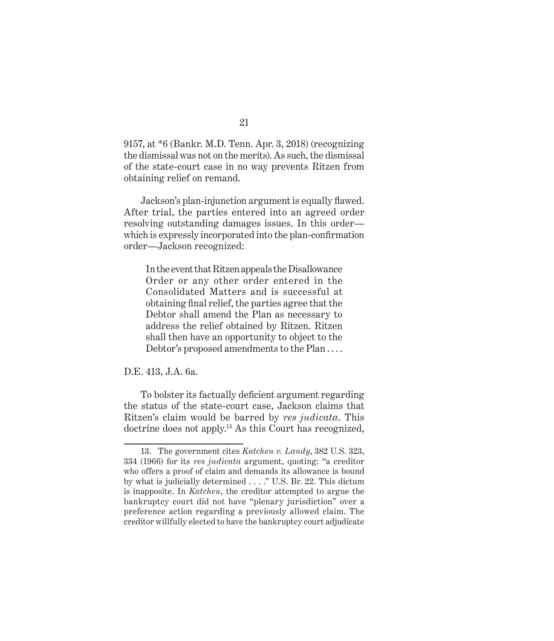9157, at \*6 (Bankr. M.D. Tenn. Apr. 3, 2018) (recognizing the dismissal was not on the merits). As such, the dismissal of the state-court case in no way prevents Ritzen from obtaining relief on remand.

Jackson's plan-injunction argument is equally flawed. After trial, the parties entered into an agreed order resolving outstanding damages issues. In this order which is expressly incorporated into the plan-confirmation order—Jackson recognized:

In the event that Ritzen appeals the Disallowance Order or any other order entered in the Consolidated Matters and is successful at obtaining final relief, the parties agree that the Debtor shall amend the Plan as necessary to address the relief obtained by Ritzen. Ritzen shall then have an opportunity to object to the Debtor's proposed amendments to the Plan . . . .

D.E. 413, J.A. 6a.

To bolster its factually deficient argument regarding the status of the state-court case, Jackson claims that Ritzen's claim would be barred by *res judicata*. This doctrine does not apply.<sup>13</sup> As this Court has recognized,

<sup>13.</sup> The government cites *Katchen v. Landy*, 382 U.S. 323, 334 (1966) for its *res judicata* argument, quoting: "a creditor who offers a proof of claim and demands its allowance is bound by what is judicially determined . . . ." U.S. Br. 22. This dictum is inapposite. In *Katchen*, the creditor attempted to argue the bankruptcy court did not have "plenary jurisdiction" over a preference action regarding a previously allowed claim. The creditor willfully elected to have the bankruptcy court adjudicate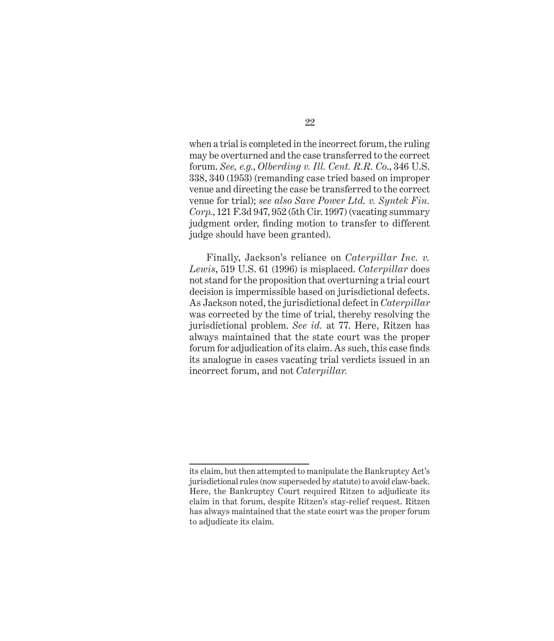when a trial is completed in the incorrect forum, the ruling may be overturned and the case transferred to the correct forum. *See, e.g.*, *Olberding v. Ill. Cent. R.R. Co*., 346 U.S. 338, 340 (1953) (remanding case tried based on improper venue and directing the case be transferred to the correct venue for trial); *see also Save Power Ltd. v. Syntek Fin. Corp.*, 121 F.3d 947, 952 (5th Cir. 1997) (vacating summary judgment order, finding motion to transfer to different judge should have been granted).

Finally, Jackson's reliance on *Caterpillar Inc. v. Lewis*, 519 U.S. 61 (1996) is misplaced. *Caterpillar* does not stand for the proposition that overturning a trial court decision is impermissible based on jurisdictional defects. As Jackson noted, the jurisdictional defect in *Caterpillar* was corrected by the time of trial, thereby resolving the jurisdictional problem. *See id.* at 77. Here, Ritzen has always maintained that the state court was the proper forum for adjudication of its claim. As such, this case finds its analogue in cases vacating trial verdicts issued in an incorrect forum, and not *Caterpillar.*

its claim, but then attempted to manipulate the Bankruptcy Act's jurisdictional rules (now superseded by statute) to avoid claw-back. Here, the Bankruptcy Court required Ritzen to adjudicate its claim in that forum, despite Ritzen's stay-relief request. Ritzen has always maintained that the state court was the proper forum to adjudicate its claim.